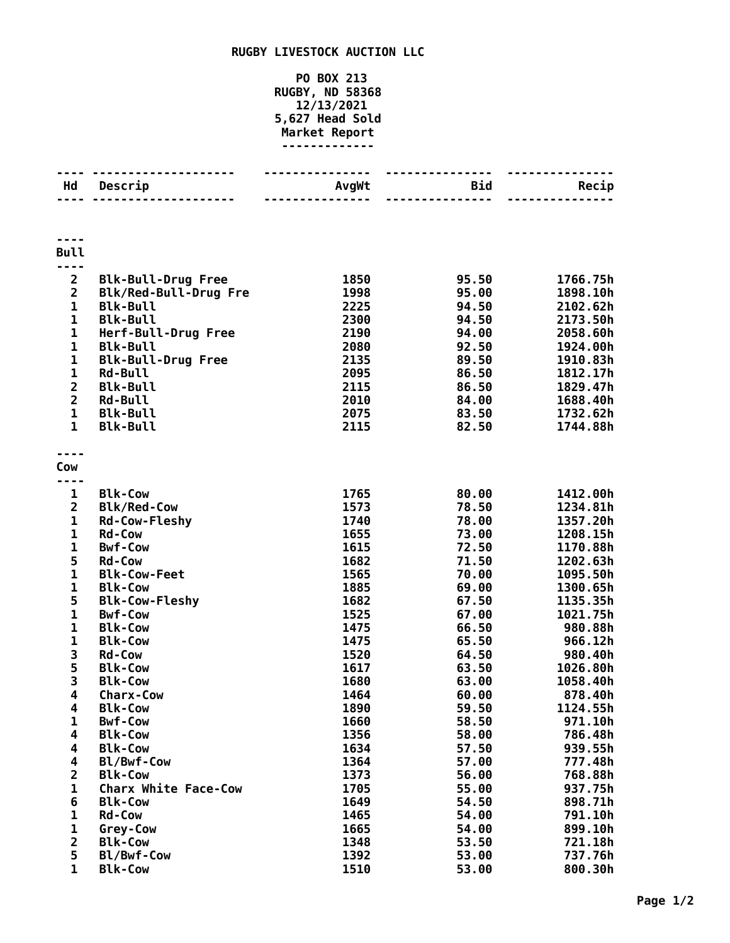## **RUGBY LIVESTOCK AUCTION LLC**

## **PO BOX 213 RUGBY, ND 58368 12/13/2021 5,627 Head Sold Market Report -------------**

| Hd                      | Descrip                          | AvgWt        | Bid            | Recip              |
|-------------------------|----------------------------------|--------------|----------------|--------------------|
|                         |                                  |              |                |                    |
| <b>Bull</b>             |                                  |              |                |                    |
| $\overline{\mathbf{c}}$ | <b>Blk-Bull-Drug Free</b>        | 1850         | 95.50          | 1766.75h           |
| $\overline{\mathbf{c}}$ | Blk/Red-Bull-Drug Fre            | 1998         | 95.00          | 1898.10h           |
| $\mathbf{1}$            | <b>Blk-Bull</b>                  | 2225         | 94.50          | 2102.62h           |
| $\mathbf 1$             | <b>Blk-Bull</b>                  | 2300         | 94.50          | 2173.50h           |
| $\mathbf{1}$            | Herf-Bull-Drug Free              | 2190         | 94.00          | 2058.60h           |
| $\mathbf 1$             | <b>Blk-Bull</b>                  | 2080         | 92.50          | 1924.00h           |
| $\mathbf 1$             | <b>Blk-Bull-Drug Free</b>        | 2135         | 89.50          | 1910.83h           |
| $\mathbf 1$             | <b>Rd-Bull</b>                   | 2095         | 86.50          | 1812.17h           |
| $\overline{2}$          | <b>Blk-Bull</b>                  | 2115         | 86.50          | 1829.47h           |
| $\overline{\mathbf{2}}$ | <b>Rd-Bull</b>                   | 2010         | 84.00          | 1688.40h           |
| $\mathbf{1}$            | <b>Blk-Bull</b>                  | 2075         | 83.50          | 1732.62h           |
| $\mathbf{1}$            | <b>Blk-Bull</b>                  | 2115         | 82.50          | 1744.88h           |
| Cow                     |                                  |              |                |                    |
|                         |                                  |              |                |                    |
| $\mathbf{1}$            | <b>Blk-Cow</b>                   | 1765         | 80.00          | 1412.00h           |
| $\overline{\mathbf{c}}$ | <b>Blk/Red-Cow</b>               | 1573         | 78.50          | 1234.81h           |
| $\mathbf{1}$            | <b>Rd-Cow-Fleshy</b>             | 1740         | 78.00          | 1357.20h           |
| $\mathbf 1$             | <b>Rd-Cow</b>                    | 1655         | 73.00          | 1208.15h           |
| 1                       | <b>Bwf-Cow</b>                   | 1615         | 72.50          | 1170.88h           |
| 5                       | <b>Rd-Cow</b>                    | 1682         | 71.50          | 1202.63h           |
| $\mathbf{1}$            | <b>Blk-Cow-Feet</b>              | 1565         | 70.00          | 1095.50h           |
| $\mathbf 1$             | <b>Blk-Cow</b>                   | 1885         | 69.00          | 1300.65h           |
| 5                       | <b>Blk-Cow-Fleshy</b>            | 1682         | 67.50          | 1135.35h           |
| $\mathbf{1}$            | <b>Bwf-Cow</b>                   | 1525         | 67.00          | 1021.75h           |
| $\mathbf{1}$            | <b>Blk-Cow</b>                   | 1475         | 66.50          | 980.88h            |
| $\mathbf 1$             | <b>Blk-Cow</b>                   | 1475         | 65.50          | 966.12h            |
| 3                       | Rd-Cow                           | 1520         | 64.50          | 980.40h            |
| $\frac{5}{3}$           | <b>Blk-Cow</b>                   | 1617         | 63.50          | 1026.80h           |
|                         | <b>Blk-Cow</b>                   | 1680         | 63.00          | 1058.40h           |
| $\overline{\mathbf{4}}$ | <b>Charx-Cow</b>                 | 1464         | 60.00          | 878.40h            |
| 4                       | <b>Blk-Cow</b>                   | 1890         | 59.50          | 1124.55h           |
| 1                       | <b>Bwf-Cow</b>                   | 1660         | 58.50          | 971.10h            |
| 4<br>4                  | <b>Blk-Cow</b><br><b>Blk-Cow</b> | 1356<br>1634 | 58.00<br>57.50 | 786.48h<br>939.55h |
| 4                       | Bl/Bwf-Cow                       | 1364         | 57.00          | 777.48h            |
| $\overline{\mathbf{2}}$ | <b>Blk-Cow</b>                   | 1373         | 56.00          | 768.88h            |
| $\mathbf{1}$            | <b>Charx White Face-Cow</b>      | 1705         | 55.00          | 937.75h            |
| 6                       | <b>Blk-Cow</b>                   | 1649         | 54.50          | 898.71h            |
| $\mathbf{1}$            | <b>Rd-Cow</b>                    | 1465         | 54.00          | 791.10h            |
| $\mathbf 1$             | Grey-Cow                         | 1665         | 54.00          | 899.10h            |
| $\overline{\mathbf{2}}$ | <b>Blk-Cow</b>                   | 1348         | 53.50          | 721.18h            |
| 5                       | Bl/Bwf-Cow                       | 1392         | 53.00          | 737.76h            |
| $\mathbf 1$             | <b>Blk-Cow</b>                   | 1510         | 53.00          | 800.30h            |